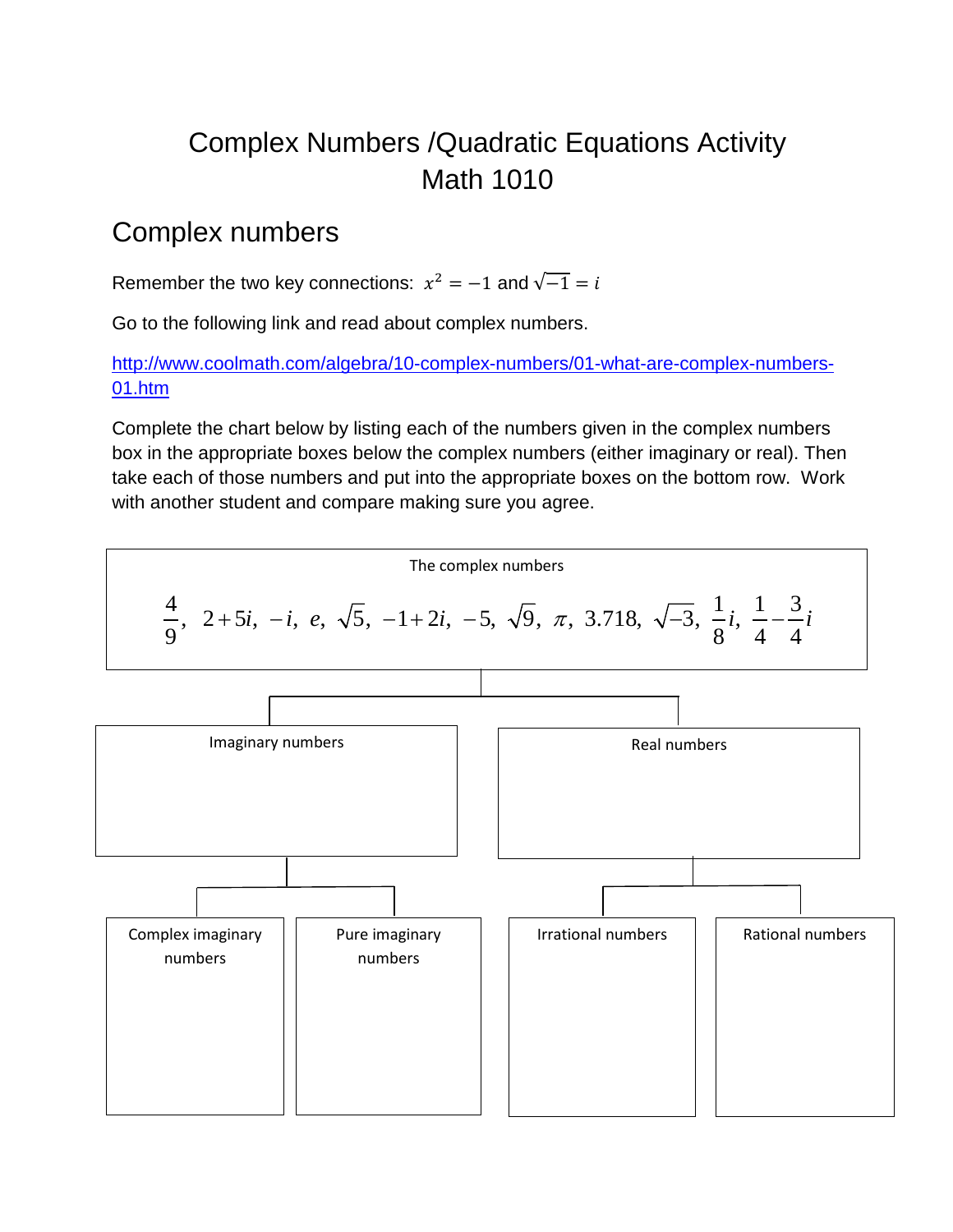# Complex Numbers /Quadratic Equations Activity Math 1010

#### Complex numbers

Remember the two key connections:  $x^2 = -1$  and  $\sqrt{-1} = i$ 

Go to the following link and read about complex numbers.

[http://www.coolmath.com/algebra/10-complex-numbers/01-what-are-complex-numbers-](http://www.coolmath.com/algebra/10-complex-numbers/01-what-are-complex-numbers-01.htm)[01.htm](http://www.coolmath.com/algebra/10-complex-numbers/01-what-are-complex-numbers-01.htm)

Complete the chart below by listing each of the numbers given in the complex numbers box in the appropriate boxes below the complex numbers (either imaginary or real). Then take each of those numbers and put into the appropriate boxes on the bottom row. Work with another student and compare making sure you agree.

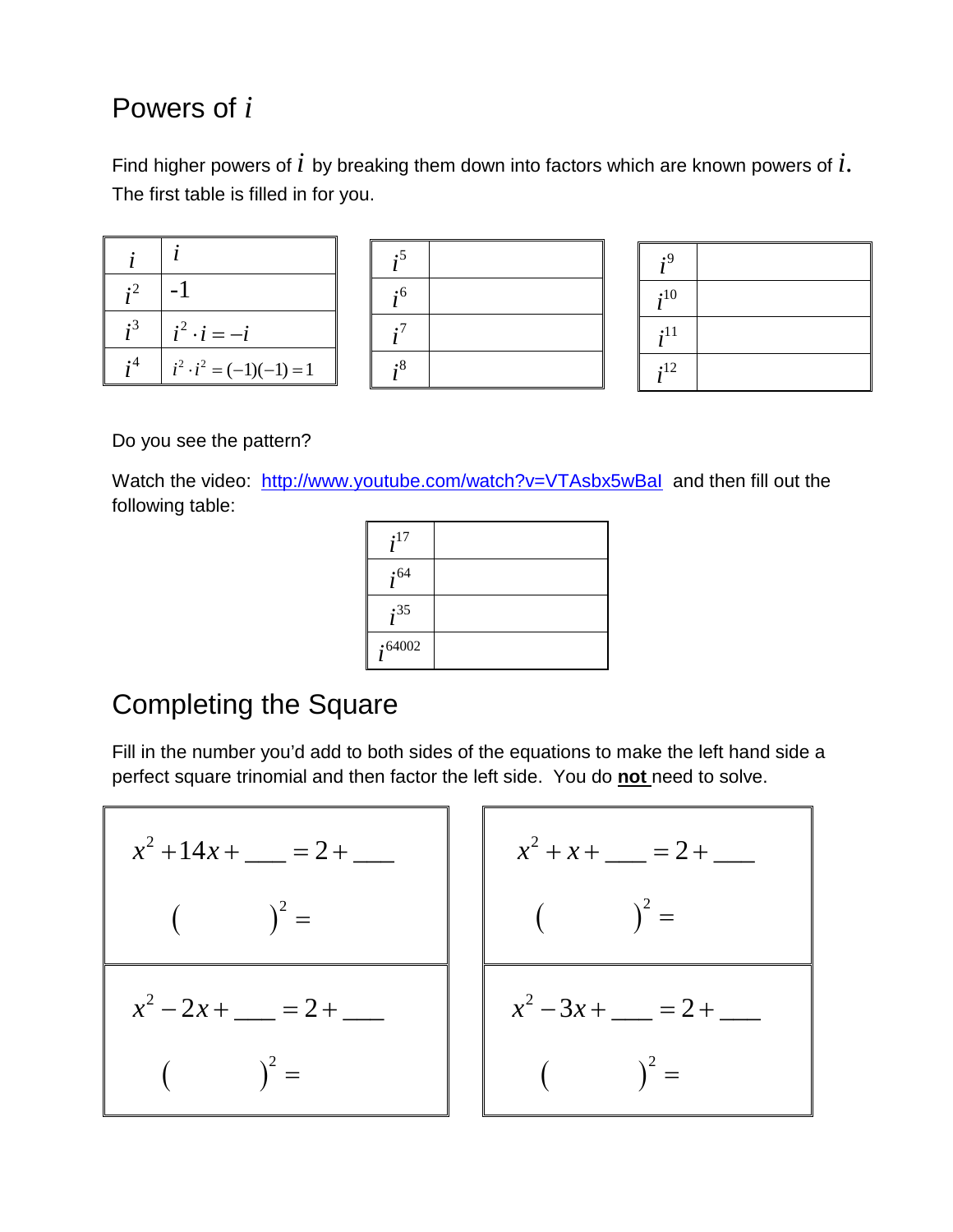## Powers of *i*

Find higher powers of *i* by breaking them down into factors which are known powers of *i*. The first table is filled in for you.

| •2 |                                |
|----|--------------------------------|
| .3 | $i^2 \cdot i = -i$             |
|    | $i^2 \cdot i^2 = (-1)(-1) = 1$ |



| $\cdot$ <sup>9</sup> |  |
|----------------------|--|
| ;10                  |  |
| :11                  |  |
| $\cdot$ 12           |  |

Do you see the pattern?

Watch the video: <http://www.youtube.com/watch?v=VTAsbx5wBaI> and then fill out the following table:

| $\cdot$ 17 |  |
|------------|--|
| $i^{64}$   |  |
| ;35        |  |
| :64002     |  |

#### Completing the Square

Fill in the number you'd add to both sides of the equations to make the left hand side a perfect square trinomial and then factor the left side. You do **not** need to solve.

$$
x^{2} + 14x + \underline{\hspace{1cm}} = 2 + \underline{\hspace{1cm}} x^{2} + x + \underline{\hspace{1cm}} =
$$
\n
$$
x^{2} + 2x + \underline{\hspace{1cm}} = 2 + \underline{\hspace{1cm}} x^{2} - 2x + \underline{\hspace{1cm}} = 2 + \underline{\hspace{1cm}} x^{2} - 3x + \underline{\hspace{1cm}} =
$$
\n
$$
(x^{2} - 3x + \underline{\hspace{1cm}}) =
$$
\n
$$
(x^{2} - 3x + \underline{\hspace{1cm}}) =
$$
\n
$$
(x^{2} - 3x + \underline{\hspace{1cm}}) =
$$
\n
$$
(x^{2} - 3x + \underline{\hspace{1cm}}) =
$$
\n
$$
(x^{2} - 3x + \underline{\hspace{1cm}}) =
$$
\n
$$
(x^{2} - 3x + \underline{\hspace{1cm}}) =
$$
\n
$$
(x^{2} - 3x + \underline{\hspace{1cm}}) =
$$
\n
$$
(x^{2} - 3x + \underline{\hspace{1cm}}) =
$$
\n
$$
(x^{2} - 3x + \underline{\hspace{1cm}}) =
$$
\n
$$
(x^{2} - 3x + \underline{\hspace{1cm}}) =
$$
\n
$$
(x^{2} - 3x + \underline{\hspace{1cm}}) =
$$
\n
$$
(x^{2} - 3x + \underline{\hspace{1cm}}) =
$$
\n
$$
(x^{2} - 3x + \underline{\hspace{1cm}}) =
$$
\n
$$
(x^{2} - 3x + \underline{\hspace{1cm}}) =
$$
\n
$$
(x^{2} - 3x + \underline{\hspace{1cm}}) =
$$
\n
$$
(x^{2} - 3x + \underline{\hspace{1cm}}) =
$$
\n
$$
(x^{2} - 3x + \underline{\hspace{1cm}}) =
$$
\n
$$
(x^{2} - 3x + \underline{\hspace{1cm}}) =
$$
\n
$$
(x^{2} - 3x + \underline{\hspace{1cm}}) =
$$
\n
$$
(x^{2} - 3x + \underline{\hspace{1cm}}) =
$$
\n
$$
(x^{2} - 3x +
$$

$$
x^{2} + x + \underline{\hspace{1cm}} = 2 + \underline{\hspace{1cm}}
$$
  

$$
\left(\begin{array}{c} \end{array}\right)^{2} =
$$
  

$$
x^{2} - 3x + \underline{\hspace{1cm}} = 2 + \underline{\hspace{1cm}}
$$
  

$$
\left(\begin{array}{c} \end{array}\right)^{2} =
$$
  

$$
\left(\begin{array}{c} \end{array}\right)^{2} =
$$